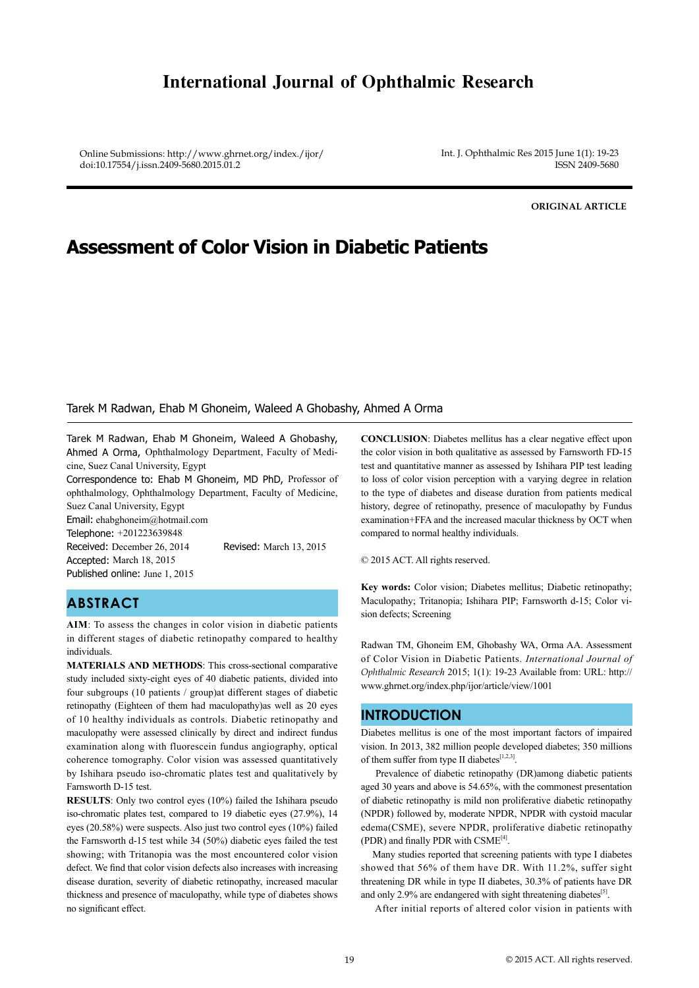# **International Journal of Ophthalmic Research**

Online Submissions: http://www.ghrnet.org/index./ijor/ doi:10.17554/j.issn.2409-5680.2015.01.2

Int. J. Ophthalmic Res 2015 June 1(1): 19-23 ISSN 2409-5680

**ORIGINAL ARTICLE**

# **Assessment of Color Vision in Diabetic Patients**

#### Tarek M Radwan, Ehab M Ghoneim, Waleed A Ghobashy, Ahmed A Orma

Tarek M Radwan, Ehab M Ghoneim, Waleed A Ghobashy, Ahmed A Orma, Ophthalmology Department, Faculty of Medicine, Suez Canal University, Egypt

Correspondence to: Ehab M Ghoneim, MD PhD, Professor of ophthalmology, Ophthalmology Department, Faculty of Medicine, Suez Canal University, Egypt

Email: ehabghoneim@hotmail.com Telephone: +201223639848

Accepted: March 18, 2015 Published online: June 1, 2015

Received: December 26, 2014 Revised: March 13, 2015

# **ABSTRACT**

**AIM**: To assess the changes in color vision in diabetic patients in different stages of diabetic retinopathy compared to healthy individuals.

**MATERIALS AND METHODS**: This cross-sectional comparative study included sixty-eight eyes of 40 diabetic patients, divided into four subgroups (10 patients / group)at different stages of diabetic retinopathy (Eighteen of them had maculopathy)as well as 20 eyes of 10 healthy individuals as controls. Diabetic retinopathy and maculopathy were assessed clinically by direct and indirect fundus examination along with fluorescein fundus angiography, optical coherence tomography. Color vision was assessed quantitatively by Ishihara pseudo iso-chromatic plates test and qualitatively by Farnsworth D-15 test.

**RESULTS**: Only two control eyes (10%) failed the Ishihara pseudo iso-chromatic plates test, compared to 19 diabetic eyes (27.9%), 14 eyes (20.58%) were suspects. Also just two control eyes (10%) failed the Farnsworth d-15 test while 34 (50%) diabetic eyes failed the test showing; with Tritanopia was the most encountered color vision defect. We find that color vision defects also increases with increasing disease duration, severity of diabetic retinopathy, increased macular thickness and presence of maculopathy, while type of diabetes shows no significant effect.

**CONCLUSION**: Diabetes mellitus has a clear negative effect upon the color vision in both qualitative as assessed by Farnsworth FD-15 test and quantitative manner as assessed by Ishihara PIP test leading to loss of color vision perception with a varying degree in relation to the type of diabetes and disease duration from patients medical history, degree of retinopathy, presence of maculopathy by Fundus examination+FFA and the increased macular thickness by OCT when compared to normal healthy individuals.

© 2015 ACT. All rights reserved.

**Key words:** Color vision; Diabetes mellitus; Diabetic retinopathy; Maculopathy; Tritanopia; Ishihara PIP; Farnsworth d-15; Color vision defects; Screening

Radwan TM, Ghoneim EM, Ghobashy WA, Orma AA. Assessment of Color Vision in Diabetic Patients. *International Journal of Ophthalmic Research* 2015; 1(1): 19-23 Available from: URL: http:// www.ghrnet.org/index.php/ijor/article/view/1001

#### **INTRODUCTION**

Diabetes mellitus is one of the most important factors of impaired vision. In 2013, 382 million people developed diabetes; 350 millions of them suffer from type II diabetes<sup>[1,2,3]</sup>.

 Prevalence of diabetic retinopathy (DR)among diabetic patients aged 30 years and above is 54.65%, with the commonest presentation of diabetic retinopathy is mild non proliferative diabetic retinopathy (NPDR) followed by, moderate NPDR, NPDR with cystoid macular edema(CSME), severe NPDR, proliferative diabetic retinopathy (PDR) and finally PDR with CSME<sup>[4]</sup>.

 Many studies reported that screening patients with type I diabetes showed that 56% of them have DR. With 11.2%, suffer sight threatening DR while in type II diabetes, 30.3% of patients have DR and only 2.9% are endangered with sight threatening diabetes<sup>[5]</sup>.

After initial reports of altered color vision in patients with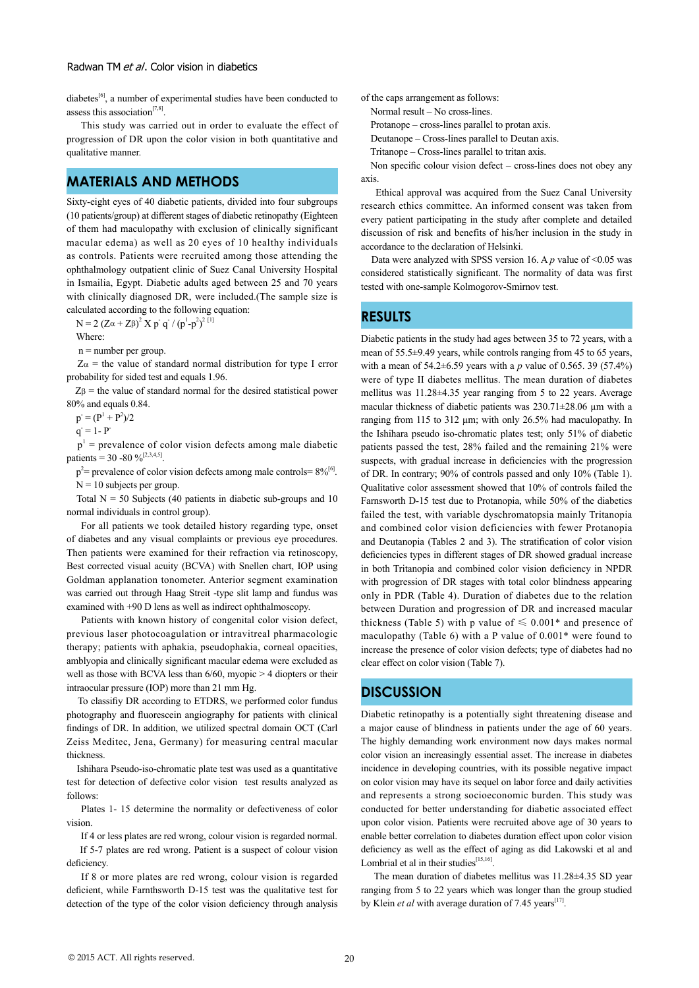$diabetes^{[6]}$ , a number of experimental studies have been conducted to assess this association<sup>[7,8]</sup>.

 This study was carried out in order to evaluate the effect of progression of DR upon the color vision in both quantitative and qualitative manner.

#### **MATERIALS AND METHODS**

Sixty-eight eyes of 40 diabetic patients, divided into four subgroups (10 patients/group) at different stages of diabetic retinopathy (Eighteen of them had maculopathy with exclusion of clinically significant macular edema) as well as 20 eyes of 10 healthy individuals as controls. Patients were recruited among those attending the ophthalmology outpatient clinic of Suez Canal University Hospital in Ismailia, Egypt. Diabetic adults aged between 25 and 70 years with clinically diagnosed DR, were included.(The sample size is calculated according to the following equation:

N = 2 (Zα + Zβ)<sup>2</sup> X p<sup>-</sup> q<sup>-</sup> / (p<sup>1</sup>-p<sup>2</sup>)<sup>2 [1]</sup>

Where:

n = number per group.

 $Z\alpha$  = the value of standard normal distribution for type I error probability for sided test and equals 1.96.

 $Z\beta$  = the value of standard normal for the desired statistical power 80% and equals 0.84.

 $p^2 = (P^1 + P^2)/2$ 

 $q = 1 - P$ 

 $p<sup>1</sup>$  = prevalence of color vision defects among male diabetic patients = 30 -80  $\frac{96}{2,3,4,5}$ .

 $p^2$ = prevalence of color vision defects among male controls=  $8\%^{6}$ .  $N = 10$  subjects per group.

Total  $N = 50$  Subjects (40 patients in diabetic sub-groups and 10 normal individuals in control group).

 For all patients we took detailed history regarding type, onset of diabetes and any visual complaints or previous eye procedures. Then patients were examined for their refraction via retinoscopy, Best corrected visual acuity (BCVA) with Snellen chart, IOP using Goldman applanation tonometer. Anterior segment examination was carried out through Haag Streit -type slit lamp and fundus was examined with +90 D lens as well as indirect ophthalmoscopy.

 Patients with known history of congenital color vision defect, previous laser photocoagulation or intravitreal pharmacologic therapy; patients with aphakia, pseudophakia, corneal opacities, amblyopia and clinically significant macular edema were excluded as well as those with BCVA less than 6/60, myopic > 4 diopters or their intraocular pressure (IOP) more than 21 mm Hg.

 To classifiy DR according to ETDRS, we performed color fundus photography and fluorescein angiography for patients with clinical findings of DR. In addition, we utilized spectral domain OCT (Carl Zeiss Meditec, Jena, Germany) for measuring central macular thickness.

 Ishihara Pseudo-iso-chromatic plate test was used as a quantitative test for detection of defective color vision test results analyzed as follows:

 Plates 1- 15 determine the normality or defectiveness of color vision.

If 4 or less plates are red wrong, colour vision is regarded normal.

 If 5-7 plates are red wrong. Patient is a suspect of colour vision deficiency.

 If 8 or more plates are red wrong, colour vision is regarded deficient, while Farnthsworth D-15 test was the qualitative test for detection of the type of the color vision deficiency through analysis of the caps arrangement as follows:

Normal result – No cross-lines.

Protanope – cross-lines parallel to protan axis.

Deutanope – Cross-lines parallel to Deutan axis.

Tritanope – Cross-lines parallel to tritan axis.

 Non specific colour vision defect – cross-lines does not obey any axis.

 Ethical approval was acquired from the Suez Canal University research ethics committee. An informed consent was taken from every patient participating in the study after complete and detailed discussion of risk and benefits of his/her inclusion in the study in accordance to the declaration of Helsinki.

Data were analyzed with SPSS version 16. A *p* value of <0.05 was considered statistically significant. The normality of data was first tested with one-sample Kolmogorov-Smirnov test.

#### **RESULTS**

Diabetic patients in the study had ages between 35 to 72 years, with a mean of 55.5±9.49 years, while controls ranging from 45 to 65 years, with a mean of 54.2±6.59 years with a *p* value of 0.565. 39 (57.4%) were of type II diabetes mellitus. The mean duration of diabetes mellitus was 11.28±4.35 year ranging from 5 to 22 years. Average macular thickness of diabetic patients was 230.71±28.06 µm with a ranging from 115 to 312 µm; with only 26.5% had maculopathy. In the Ishihara pseudo iso-chromatic plates test; only 51% of diabetic patients passed the test, 28% failed and the remaining 21% were suspects, with gradual increase in deficiencies with the progression of DR. In contrary; 90% of controls passed and only 10% (Table 1). Qualitative color assessment showed that 10% of controls failed the Farnsworth D-15 test due to Protanopia, while 50% of the diabetics failed the test, with variable dyschromatopsia mainly Tritanopia and combined color vision deficiencies with fewer Protanopia and Deutanopia (Tables 2 and 3). The stratification of color vision deficiencies types in different stages of DR showed gradual increase in both Tritanopia and combined color vision deficiency in NPDR with progression of DR stages with total color blindness appearing only in PDR (Table 4). Duration of diabetes due to the relation between Duration and progression of DR and increased macular thickness (Table 5) with p value of  $\leq 0.001*$  and presence of maculopathy (Table 6) with a P value of 0.001\* were found to increase the presence of color vision defects; type of diabetes had no clear effect on color vision (Table 7).

## **DISCUSSION**

Diabetic retinopathy is a potentially sight threatening disease and a major cause of blindness in patients under the age of 60 years. The highly demanding work environment now days makes normal color vision an increasingly essential asset. The increase in diabetes incidence in developing countries, with its possible negative impact on color vision may have its sequel on labor force and daily activities and represents a strong socioeconomic burden. This study was conducted for better understanding for diabetic associated effect upon color vision. Patients were recruited above age of 30 years to enable better correlation to diabetes duration effect upon color vision deficiency as well as the effect of aging as did Lakowski et al and Lombrial et al in their studies $^{[15,16]}$ .

 The mean duration of diabetes mellitus was 11.28±4.35 SD year ranging from 5 to 22 years which was longer than the group studied by Klein *et al* with average duration of 7.45 years<sup>[17]</sup>.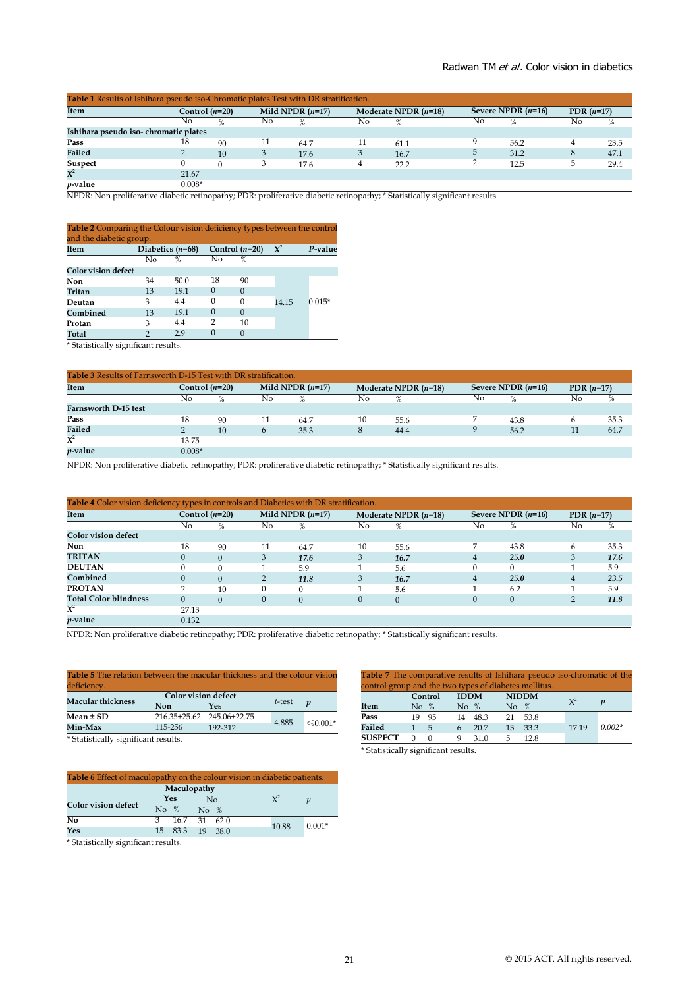| Table 1 Results of Ishihara pseudo iso-Chromatic plates Test with DR stratification. |          |                                               |    |      |    |                        |                      |      |              |      |  |
|--------------------------------------------------------------------------------------|----------|-----------------------------------------------|----|------|----|------------------------|----------------------|------|--------------|------|--|
| Item                                                                                 |          | Mild NPDR $(n=17)$<br>Control ( <i>n</i> =20) |    |      |    | Moderate NPDR $(n=18)$ | Severe NPDR $(n=16)$ |      | PDR $(n=17)$ |      |  |
|                                                                                      | No       | $\%$                                          | No | $\%$ | No | $\%$                   | No                   | $\%$ | No           | %    |  |
| Ishihara pseudo iso-chromatic plates                                                 |          |                                               |    |      |    |                        |                      |      |              |      |  |
| Pass                                                                                 | 18       | 90                                            | 11 | 64.7 | 11 | 61.1                   |                      | 56.2 |              | 23.5 |  |
| Failed                                                                               |          | 10 <sup>1</sup>                               |    | 17.6 |    | 16.7                   |                      | 31.2 |              | 47.1 |  |
| Suspect                                                                              |          |                                               |    | 17.6 |    | 22.2                   |                      | 12.5 |              | 29.4 |  |
| $\mathbf{X}^2$                                                                       | 21.67    |                                               |    |      |    |                        |                      |      |              |      |  |
| $p$ -value                                                                           | $0.008*$ |                                               |    |      |    |                        |                      |      |              |      |  |

NPDR: Non proliferative diabetic retinopathy; PDR: proliferative diabetic retinopathy; \* Statistically significant results.

| <b>Table 2</b> Comparing the Colour vision deficiency types between the control<br>and the diabetic group. |    |                    |          |                  |                |          |
|------------------------------------------------------------------------------------------------------------|----|--------------------|----------|------------------|----------------|----------|
| Item                                                                                                       |    | Diabetics $(n=68)$ |          | Control $(n=20)$ | $\mathbf{X}^2$ | P-value  |
|                                                                                                            | Nο | $\%$               | No       | $\%$             |                |          |
| <b>Color vision defect</b>                                                                                 |    |                    |          |                  |                |          |
| Non                                                                                                        | 34 | 50.0               | 18       | 90               |                |          |
| Tritan                                                                                                     | 13 | 19.1               | $\Omega$ | $\Omega$         |                |          |
| Deutan                                                                                                     | 3  | 4.4                | 0        | 0                | 14.15          | $0.015*$ |
| Combined                                                                                                   | 13 | 19.1               | $\Omega$ | $\Omega$         |                |          |
| Protan                                                                                                     | 3  | 4.4                | 2        | 10               |                |          |
| Total                                                                                                      | 2  | 2.9                | $\Omega$ | $\cup$           |                |          |

\* Statistically significant results.

| <b>Table 3</b> Results of Farnsworth D-15 Test with DR stratification. |                                        |    |    |      |    |                        |    |                      |    |              |  |
|------------------------------------------------------------------------|----------------------------------------|----|----|------|----|------------------------|----|----------------------|----|--------------|--|
| <b>Item</b>                                                            | Mild NPDR $(n=17)$<br>Control $(n=20)$ |    |    |      |    | Moderate NPDR $(n=18)$ |    | Severe NPDR $(n=16)$ |    | PDR $(n=17)$ |  |
|                                                                        | No                                     | %  | No | %    | No | %                      | No | $\%$                 | No | %            |  |
| Farnsworth D-15 test                                                   |                                        |    |    |      |    |                        |    |                      |    |              |  |
| Pass                                                                   | 18                                     | 90 | 11 | 64.7 | 10 | 55.6                   |    | 43.8                 |    | 35.3         |  |
| <b>Failed</b>                                                          |                                        | 10 | 6  | 35.3 |    | 44.4                   | Q  | 56.2                 | 11 | 64.7         |  |
| $\mathbf{X}^2$                                                         | 13.75                                  |    |    |      |    |                        |    |                      |    |              |  |
| <i>p</i> -value                                                        | $0.008*$                               |    |    |      |    |                        |    |                      |    |              |  |

NPDR: Non proliferative diabetic retinopathy; PDR: proliferative diabetic retinopathy; \* Statistically significant results.

| Table 4 Color vision deficiency types in controls and Diabetics with DR stratification. |                  |          |                    |              |    |                        |    |                      |    |              |  |
|-----------------------------------------------------------------------------------------|------------------|----------|--------------------|--------------|----|------------------------|----|----------------------|----|--------------|--|
| Item                                                                                    | Control $(n=20)$ |          | Mild NPDR $(n=17)$ |              |    | Moderate NPDR $(n=18)$ |    | Severe NPDR $(n=16)$ |    | PDR $(n=17)$ |  |
|                                                                                         | No               | $\%$     | No                 | %            | No | %                      | No | %                    | No | %            |  |
| <b>Color vision defect</b>                                                              |                  |          |                    |              |    |                        |    |                      |    |              |  |
| <b>Non</b>                                                                              | 18               | 90       | 11                 | 64.7         | 10 | 55.6                   | 7  | 43.8                 | h  | 35.3         |  |
| <b>TRITAN</b>                                                                           |                  | $\Omega$ | 3                  | 17.6         | 3  | 16.7                   |    | 25.0                 | 3  | 17.6         |  |
| <b>DEUTAN</b>                                                                           |                  | $\Omega$ |                    | 5.9          |    | 5.6                    | 0  |                      |    | 5.9          |  |
| Combined                                                                                |                  | $\Omega$ |                    | 11.8         | 3  | 16.7                   | 4  | 25.0                 | 4  | 23.5         |  |
| <b>PROTAN</b>                                                                           |                  | 10       | 0                  |              |    | 5.6                    |    | 6.2                  |    | 5.9          |  |
| <b>Total Color blindness</b>                                                            | $\Omega$         | $\Omega$ | 0                  | $\mathbf{0}$ |    | $\Omega$               | 0  | 0                    |    | 11.8         |  |
| $\mathbf{X}^2$                                                                          | 27.13            |          |                    |              |    |                        |    |                      |    |              |  |
| $p\text{-value}$                                                                        | 0.132            |          |                    |              |    |                        |    |                      |    |              |  |

NPDR: Non proliferative diabetic retinopathy; PDR: proliferative diabetic retinopathy; \* Statistically significant results.

| <b>Table 5</b> The relation between the macular thickness and the colour vision |                            |              |        |                  |  |
|---------------------------------------------------------------------------------|----------------------------|--------------|--------|------------------|--|
| deficiency.                                                                     |                            |              |        |                  |  |
|                                                                                 | <b>Color vision defect</b> |              |        |                  |  |
| <b>Macular thickness</b>                                                        | Non                        | Yes          | t-test | $\boldsymbol{v}$ |  |
| Mean ± SD                                                                       | 216.35±25.62               | 245.06±22.75 |        |                  |  |
| Min-Max                                                                         | 115-256                    | 192-312      | 4.885  | $\leq 0.001*$    |  |
| 4.0111<br>$\cdot$ $\cdot$ $\cdot$                                               |                            |              |        |                  |  |

\* Statistically significant results.

| <b>Table 6</b> Effect of maculopathy on the colour vision in diabetic patients. |            |                 |                          |      |       |          |  |  |  |
|---------------------------------------------------------------------------------|------------|-----------------|--------------------------|------|-------|----------|--|--|--|
| Maculopathy                                                                     |            |                 |                          |      |       |          |  |  |  |
|                                                                                 | <b>Yes</b> |                 | No                       |      | $X^2$ |          |  |  |  |
| <b>Color vision defect</b>                                                      |            | No $%$          | $\overline{\text{No}}$ % |      |       |          |  |  |  |
| N <sub>0</sub>                                                                  | 3          | 16.7            | 31                       | 62.0 |       |          |  |  |  |
| Yes                                                                             |            | 15 83.3 19 38.0 |                          |      | 10.88 | $0.001*$ |  |  |  |

\* Statistically significant results.

| <b>Table 7</b> The comparative results of Ishihara pseudo iso-chromatic of the |         |             |         |              |      |       |          |  |  |  |
|--------------------------------------------------------------------------------|---------|-------------|---------|--------------|------|-------|----------|--|--|--|
| control group and the two types of diabetes mellitus.                          |         |             |         |              |      |       |          |  |  |  |
|                                                                                | Control | <b>IDDM</b> |         | <b>NIDDM</b> |      | $X^2$ |          |  |  |  |
| <b>Item</b>                                                                    | No $%$  | No $%$      |         | No $%$       |      |       |          |  |  |  |
| Pass<br>19                                                                     | 95      |             | 14 48.3 | 21           | 53.8 |       |          |  |  |  |
| Failed<br>1                                                                    | $-5$    | 6           | 20.7    | 13           | 33.3 | 17.19 | $0.002*$ |  |  |  |
| <b>SUSPECT</b>                                                                 | $\cup$  | q           | 31.0    | 5            | 12.8 |       |          |  |  |  |

\* Statistically significant results.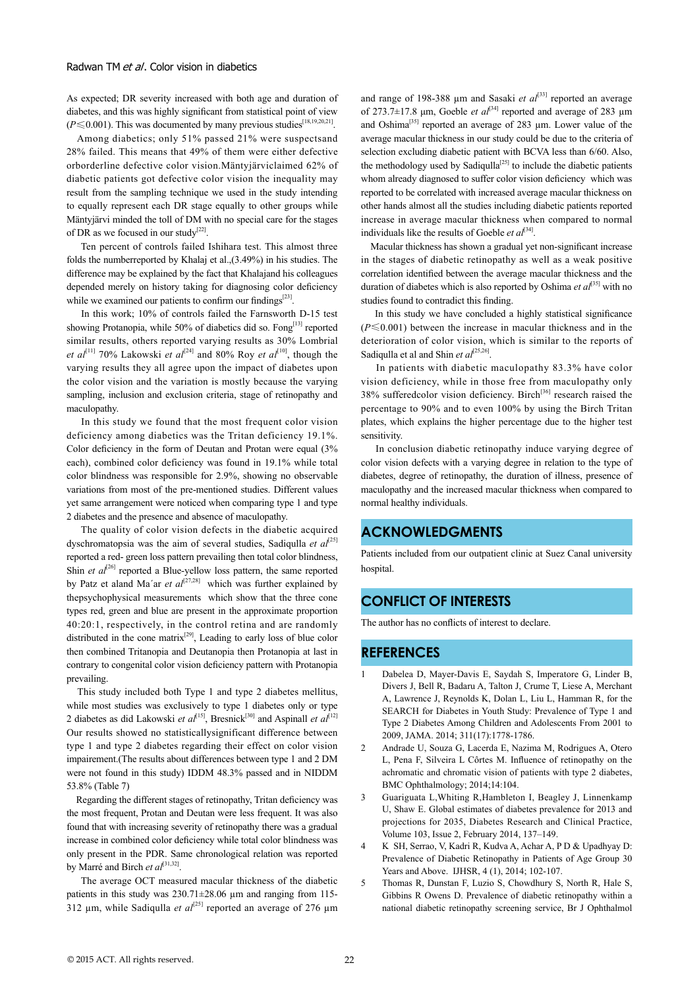As expected; DR severity increased with both age and duration of diabetes, and this was highly significant from statistical point of view (*P*≤0.001). This was documented by many previous studies<sup>[18,19,20,21]</sup>.

 Among diabetics; only 51% passed 21% were suspectsand 28% failed. This means that 49% of them were either defective orborderline defective color vision.Mäntyjärviclaimed 62% of diabetic patients got defective color vision the inequality may result from the sampling technique we used in the study intending to equally represent each DR stage equally to other groups while Mäntyjärvi minded the toll of DM with no special care for the stages of DR as we focused in our study<sup>[22]</sup>.

 Ten percent of controls failed Ishihara test. This almost three folds the numberreported by Khalaj et al.,(3.49%) in his studies. The difference may be explained by the fact that Khalajand his colleagues depended merely on history taking for diagnosing color deficiency while we examined our patients to confirm our findings $[23]$ .

 In this work; 10% of controls failed the Farnsworth D-15 test showing Protanopia, while 50% of diabetics did so. Fong<sup>[13]</sup> reported similar results, others reported varying results as 30% Lombrial *et al*<sup>[11]</sup> 70% Lakowski *et al*<sup>[24]</sup> and 80% Roy *et al*<sup>[10]</sup>, though the varying results they all agree upon the impact of diabetes upon the color vision and the variation is mostly because the varying sampling, inclusion and exclusion criteria, stage of retinopathy and maculopathy.

 In this study we found that the most frequent color vision deficiency among diabetics was the Tritan deficiency 19.1%. Color deficiency in the form of Deutan and Protan were equal (3% each), combined color deficiency was found in 19.1% while total color blindness was responsible for 2.9%, showing no observable variations from most of the pre-mentioned studies. Different values yet same arrangement were noticed when comparing type 1 and type 2 diabetes and the presence and absence of maculopathy.

 The quality of color vision defects in the diabetic acquired dyschromatopsia was the aim of several studies, Sadiqulla *et al*<sup>[25]</sup> reported a red- green loss pattern prevailing then total color blindness, Shin *et*  $al^{[26]}$  reported a Blue-yellow loss pattern, the same reported by Patz et aland Ma'ar et al<sup>[27,28]</sup> which was further explained by thepsychophysical measurements which show that the three cone types red, green and blue are present in the approximate proportion 40:20:1, respectively, in the control retina and are randomly distributed in the cone matrix $[29]$ , Leading to early loss of blue color then combined Tritanopia and Deutanopia then Protanopia at last in contrary to congenital color vision deficiency pattern with Protanopia prevailing.

 This study included both Type 1 and type 2 diabetes mellitus, while most studies was exclusively to type 1 diabetes only or type 2 diabetes as did Lakowski *et al*<sup>[15]</sup>, Bresnick<sup>[30]</sup> and Aspinall *et al*<sup>[12]</sup> Our results showed no statisticallysignificant difference between type 1 and type 2 diabetes regarding their effect on color vision impairement.(The results about differences between type 1 and 2 DM were not found in this study) IDDM 48.3% passed and in NIDDM 53.8% (Table 7)

 Regarding the different stages of retinopathy, Tritan deficiency was the most frequent, Protan and Deutan were less frequent. It was also found that with increasing severity of retinopathy there was a gradual increase in combined color deficiency while total color blindness was only present in the PDR. Same chronological relation was reported by Marré and Birch *et al*<sup>[31,32]</sup>.

 The average OCT measured macular thickness of the diabetic patients in this study was  $230.71 \pm 28.06$  µm and ranging from 115-312  $\mu$ m, while Sadiqulla *et al*<sup>[25]</sup> reported an average of 276  $\mu$ m

and range of 198-388 um and Sasaki *et al*<sup>[33]</sup> reported an average of 273.7 $\pm$ 17.8 μm, Goeble *et al*<sup>[34]</sup> reported and average of 283 μm and Oshima<sup>[35]</sup> reported an average of 283 µm. Lower value of the average macular thickness in our study could be due to the criteria of selection excluding diabetic patient with BCVA less than 6/60. Also, the methodology used by Sadiqulla<sup>[25]</sup> to include the diabetic patients whom already diagnosed to suffer color vision deficiency which was reported to be correlated with increased average macular thickness on other hands almost all the studies including diabetic patients reported increase in average macular thickness when compared to normal individuals like the results of Goeble  $et al^{[34]}$ .

 Macular thickness has shown a gradual yet non-significant increase in the stages of diabetic retinopathy as well as a weak positive correlation identified between the average macular thickness and the duration of diabetes which is also reported by Oshima *et al*<sup>[35]</sup> with no studies found to contradict this finding.

 In this study we have concluded a highly statistical significance (*P*≤0.001) between the increase in macular thickness and in the deterioration of color vision, which is similar to the reports of Sadiqulla et al and Shin *et al*<sup>[25,26]</sup>.

 In patients with diabetic maculopathy 83.3% have color vision deficiency, while in those free from maculopathy only  $38\%$  sufferedcolor vision deficiency. Birch<sup>[36]</sup> research raised the percentage to 90% and to even 100% by using the Birch Tritan plates, which explains the higher percentage due to the higher test sensitivity.

 In conclusion diabetic retinopathy induce varying degree of color vision defects with a varying degree in relation to the type of diabetes, degree of retinopathy, the duration of illness, presence of maculopathy and the increased macular thickness when compared to normal healthy individuals.

## **ACKNOWLEDGMENTS**

Patients included from our outpatient clinic at Suez Canal university hospital.

### **CONFLICT OF INTERESTS**

The author has no conflicts of interest to declare.

#### **REFERENCES**

- 1 Dabelea D, Mayer-Davis E, Saydah S, Imperatore G, Linder B, Divers J, Bell R, Badaru A, Talton J, Crume T, Liese A, Merchant A, Lawrence J, Reynolds K, Dolan L, Liu L, Hamman R, for the SEARCH for Diabetes in Youth Study: Prevalence of Type 1 and Type 2 Diabetes Among Children and Adolescents From 2001 to 2009, JAMA. 2014; 311(17):1778-1786.
- 2 Andrade U, Souza G, Lacerda E, Nazima M, Rodrigues A, Otero L, Pena F, Silveira L Côrtes M. Influence of retinopathy on the achromatic and chromatic vision of patients with type 2 diabetes, BMC Ophthalmology; 2014;14:104.
- 3 Guariguata L,Whiting R,Hambleton I, Beagley J, Linnenkamp U, Shaw E. Global estimates of diabetes prevalence for 2013 and projections for 2035, Diabetes Research and Clinical Practice, Volume 103, Issue 2, February 2014, 137–149.
- 4 K SH, Serrao, V, Kadri R, Kudva A, Achar A, P D & Upadhyay D: Prevalence of Diabetic Retinopathy in Patients of Age Group 30 Years and Above. IJHSR, 4 (1), 2014; 102-107.
- 5 Thomas R, Dunstan F, Luzio S, Chowdhury S, North R, Hale S, Gibbins R Owens D. Prevalence of diabetic retinopathy within a national diabetic retinopathy screening service, Br J Ophthalmol